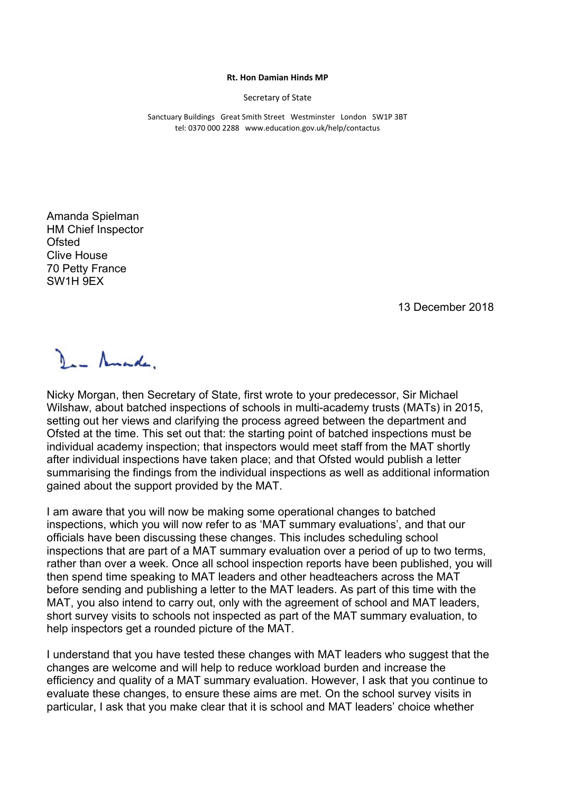## **Rt. Hon Damian Hinds MP**

Secretary of State

Sanctuary Buildings Great Smith Street Westminster London SW1P 3BT tel: 0370 000 2288 www.education.gov.uk/help/contactus

Amanda Spielman HM Chief Inspector **Ofsted** Clive House 70 Petty France SW1H 9EX

13 December 2018

Den Amade,

Nicky Morgan, then Secretary of State, first wrote to your predecessor, Sir Michael Wilshaw, about batched inspections of schools in multi-academy trusts (MATs) in 2015, setting out her views and clarifying the process agreed between the department and Ofsted at the time. This set out that: the starting point of batched inspections must be individual academy inspection; that inspectors would meet staff from the MAT shortly after individual inspections have taken place; and that Ofsted would publish a letter summarising the findings from the individual inspections as well as additional information gained about the support provided by the MAT.

I am aware that you will now be making some operational changes to batched inspections, which you will now refer to as 'MAT summary evaluations', and that our officials have been discussing these changes. This includes scheduling school inspections that are part of a MAT summary evaluation over a period of up to two terms, rather than over a week. Once all school inspection reports have been published, you will then spend time speaking to MAT leaders and other headteachers across the MAT before sending and publishing a letter to the MAT leaders. As part of this time with the MAT, you also intend to carry out, only with the agreement of school and MAT leaders, short survey visits to schools not inspected as part of the MAT summary evaluation, to help inspectors get a rounded picture of the MAT.

I understand that you have tested these changes with MAT leaders who suggest that the changes are welcome and will help to reduce workload burden and increase the efficiency and quality of a MAT summary evaluation. However, I ask that you continue to evaluate these changes, to ensure these aims are met. On the school survey visits in particular, I ask that you make clear that it is school and MAT leaders' choice whether